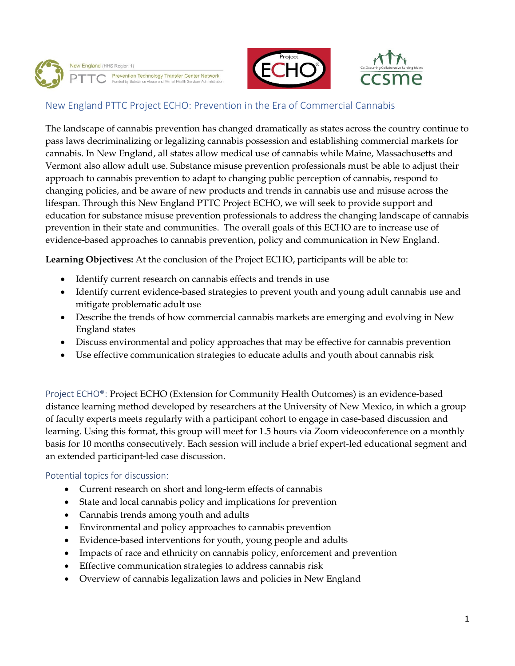





# New England PTTC Project ECHO: Prevention in the Era of Commercial Cannabis

The landscape of cannabis prevention has changed dramatically as states across the country continue to pass laws decriminalizing or legalizing cannabis possession and establishing commercial markets for cannabis. In New England, all states allow medical use of cannabis while Maine, Massachusetts and Vermont also allow adult use. Substance misuse prevention professionals must be able to adjust their approach to cannabis prevention to adapt to changing public perception of cannabis, respond to changing policies, and be aware of new products and trends in cannabis use and misuse across the lifespan. Through this New England PTTC Project ECHO, we will seek to provide support and education for substance misuse prevention professionals to address the changing landscape of cannabis prevention in their state and communities. The overall goals of this ECHO are to increase use of evidence-based approaches to cannabis prevention, policy and communication in New England.

**Learning Objectives:** At the conclusion of the Project ECHO, participants will be able to:

- Identify current research on cannabis effects and trends in use
- Identify current evidence-based strategies to prevent youth and young adult cannabis use and mitigate problematic adult use
- Describe the trends of how commercial cannabis markets are emerging and evolving in New England states
- Discuss environmental and policy approaches that may be effective for cannabis prevention
- Use effective communication strategies to educate adults and youth about cannabis risk

Project ECHO®: Project ECHO (Extension for Community Health Outcomes) is an evidence-based distance learning method developed by researchers at the University of New Mexico, in which a group of faculty experts meets regularly with a participant cohort to engage in case-based discussion and learning. Using this format, this group will meet for 1.5 hours via Zoom videoconference on a monthly basis for 10 months consecutively. Each session will include a brief expert-led educational segment and an extended participant-led case discussion.

## Potential topics for discussion:

- Current research on short and long-term effects of cannabis
- State and local cannabis policy and implications for prevention
- Cannabis trends among youth and adults
- Environmental and policy approaches to cannabis prevention
- Evidence-based interventions for youth, young people and adults
- Impacts of race and ethnicity on cannabis policy, enforcement and prevention
- Effective communication strategies to address cannabis risk
- Overview of cannabis legalization laws and policies in New England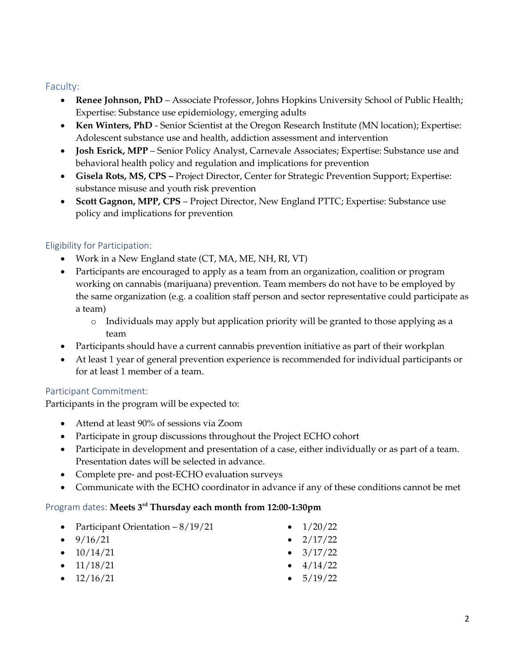## Faculty:

- **Renee Johnson, PhD** Associate Professor, Johns Hopkins University School of Public Health; Expertise: Substance use epidemiology, emerging adults
- **Ken Winters, PhD** Senior Scientist at the Oregon Research Institute (MN location); Expertise: Adolescent substance use and health, addiction assessment and intervention
- **Josh Esrick, MPP** Senior Policy Analyst, Carnevale Associates; Expertise: Substance use and behavioral health policy and regulation and implications for prevention
- **Gisela Rots, MS, CPS –** Project Director, Center for Strategic Prevention Support; Expertise: substance misuse and youth risk prevention
- **Scott Gagnon, MPP, CPS** Project Director, New England PTTC; Expertise: Substance use policy and implications for prevention

## Eligibility for Participation:

- Work in a New England state (CT, MA, ME, NH, RI, VT)
- Participants are encouraged to apply as a team from an organization, coalition or program working on cannabis (marijuana) prevention. Team members do not have to be employed by the same organization (e.g. a coalition staff person and sector representative could participate as a team)
	- o Individuals may apply but application priority will be granted to those applying as a team
- Participants should have a current cannabis prevention initiative as part of their workplan
- At least 1 year of general prevention experience is recommended for individual participants or for at least 1 member of a team.

## Participant Commitment:

Participants in the program will be expected to:

- Attend at least 90% of sessions via Zoom
- Participate in group discussions throughout the Project ECHO cohort
- Participate in development and presentation of a case, either individually or as part of a team. Presentation dates will be selected in advance.
- Complete pre- and post-ECHO evaluation surveys
- Communicate with the ECHO coordinator in advance if any of these conditions cannot be met

## Program dates: **Meets 3rd Thursday each month from 12:00-1:30pm**

- Participant Orientation 8/19/21
- $9/16/21$
- $\bullet$  10/14/21
- $\bullet$  11/18/21
- $\bullet$  12/16/21
- $\bullet$  1/20/22
- $\bullet$  2/17/22
- $3/17/22$
- $\bullet$  4/14/22
- $5/19/22$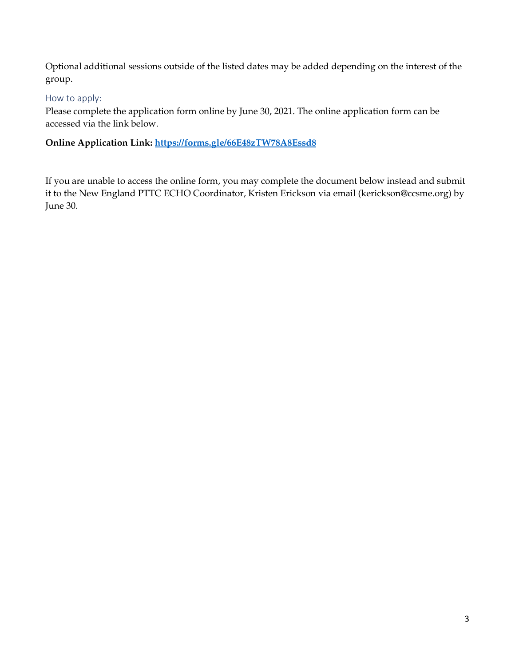Optional additional sessions outside of the listed dates may be added depending on the interest of the group.

# How to apply:

Please complete the application form online by June 30, 2021. The online application form can be accessed via the link below.

# **Online Application Link:<https://forms.gle/66E48zTW78A8Essd8>**

If you are unable to access the online form, you may complete the document below instead and submit it to the New England PTTC ECHO Coordinator, Kristen Erickson via email (kerickson@ccsme.org) by June 30.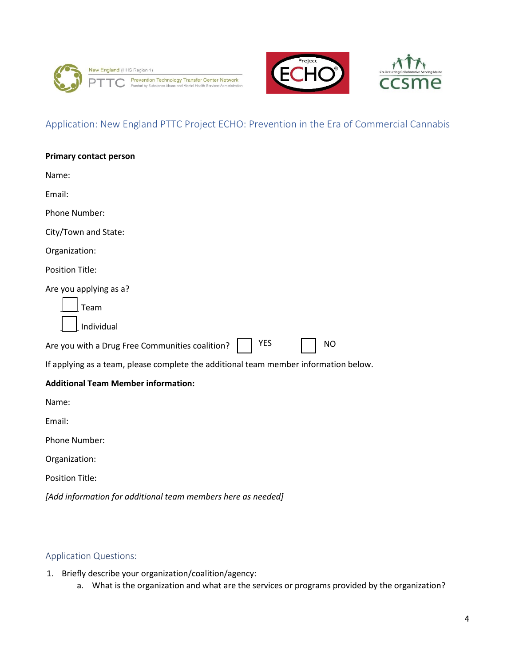





# Application: New England PTTC Project ECHO: Prevention in the Era of Commercial Cannabis

# Application Questions:

- 1. Briefly describe your organization/coalition/agency:
	- a. What is the organization and what are the services or programs provided by the organization?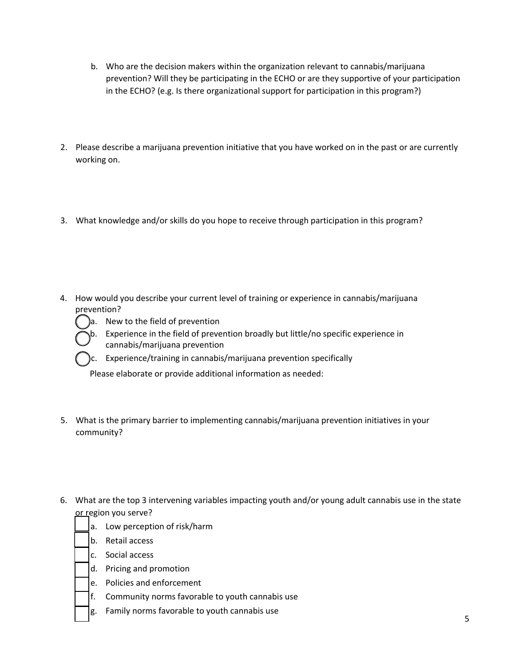- b. Who are the decision makers within the organization relevant to cannabis/marijuana prevention? Will they be participating in the ECHO or are they supportive of your participation in the ECHO? (e.g. Is there organizational support for participation in this program?)
- 2. Please describe a marijuana prevention initiative that you have worked on in the past or are currently working on.
- 3. What knowledge and/or skills do you hope to receive through participation in this program?
- 4. How would you describe your current level of training or experience in cannabis/marijuana prevention?



a. New to the field of prevention b. Experience in the field of prevention broadly but little/no specific experience in cannabis/marijuana prevention

c. Experience/training in cannabis/marijuana prevention specifically

Please elaborate or provide additional information as needed:

- 5. What is the primary barrier to implementing cannabis/marijuana prevention initiatives in your community?
- 6. What are the top 3 intervening variables impacting youth and/or young adult cannabis use in the state or region you serve?
	- a. Low perception of risk/harm
	- b. Retail access
	- c. Social access
	- d. Pricing and promotion
	- e. Policies and enforcement
	- f. Community norms favorable to youth cannabis use
	- g. Family norms favorable to youth cannabis use